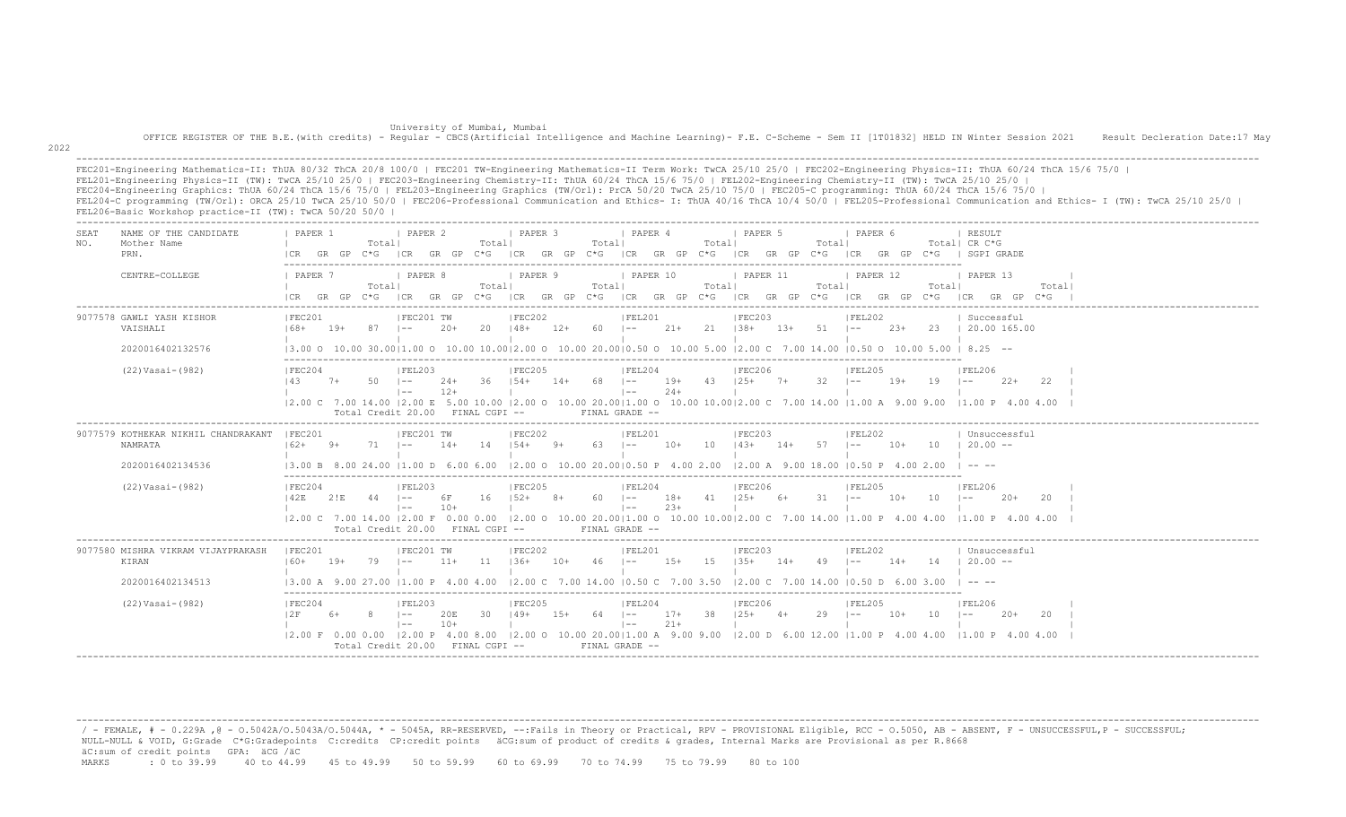University of Mumbai, Mumbai OFFICE REGISTER OF THE B.E.(with credits) - Regular - CBCS(Artificial Intelligence and Machine Learning)- F.E. C-Scheme - Sem II [1T01832] HELD IN Winter Session 2021 Result Decleration Date:17 May

2022

 ------------------------------------------------------------------------------------------------------------------------------------------------------------------------------------------------------------------- FEC201-Engineering Mathematics-II: ThUA 80/32 ThCA 20/8 100/0 | FEC201 TW-Engineering Mathematics-II Term Work: TwCA 25/10 25/0 | FEC202-Engineering Physics-II: ThUA 60/24 ThCA 15/6 75/0 | FEL201-Engineering Physics-II (TW): TwCA 25/10 25/0 | FEC203-Engineering Chemistry-II: ThUA 60/24 ThCA 15/6 75/0 | FEL202-Engineering Chemistry-II (TW): TwCA 25/10 25/0 | FEC204-Engineering Graphics: ThUA 60/24 ThCA 15/6 75/0 | FEL203-Engineering Graphics (TW/Orl): PrCA 50/20 TwCA 25/10 75/0 | FEC205-C programming: ThUA 60/24 ThCA 15/6 75/0 | FEL204-C programming (TW/Orl): ORCA 25/10 TwCA 25/10 50/0 | FEC206-Professional Communication and Ethics- I: ThUA 40/16 ThCA 10/4 50/0 | FEL205-Professional Communication and Ethics- I (TW): TwCA 25/10 25/0 | FEL206-Basic Workshop practice-II (TW): TwCA 50/20 50/0 |

| <b>SEAT</b><br>NO. | NAME OF THE CANDIDATE<br>Mother Name<br>PRN.                           | PAPER 1<br>ICR.                                               | GR GP | Totall<br>$C*G$ | PAPER 2<br>ICR                                     | GR GP          | Totall<br>$C*G$     | I PAPER 3                                    |       | Totall     | <i>I</i> PAPER 4<br>ICR GR GP C*G ICR GR GP    |                 | Totall<br>$C * G$ | 1 PAPER 5<br>ICR GR GP C*G                                                                                                         |        | Totall      | I PAPER 6<br> CR          |       |       | RESULT<br>Totall CR C*G<br>GR GP C*G   SGPI GRADE                                                                                                                                                                                                                                                                                                                                    |       |
|--------------------|------------------------------------------------------------------------|---------------------------------------------------------------|-------|-----------------|----------------------------------------------------|----------------|---------------------|----------------------------------------------|-------|------------|------------------------------------------------|-----------------|-------------------|------------------------------------------------------------------------------------------------------------------------------------|--------|-------------|---------------------------|-------|-------|--------------------------------------------------------------------------------------------------------------------------------------------------------------------------------------------------------------------------------------------------------------------------------------------------------------------------------------------------------------------------------------|-------|
|                    | CENTRE-COLLEGE                                                         | PAPER 7<br>ICR GR GP                                          |       | Totall<br>$C*G$ | I PAPER 8<br> CR                                   |                | Totall              | I PAPER 9<br>$GR$ GP $C*G$ $ICR$ GR GP $C*G$ |       | Totall     | I PAPER 10                                     |                 | Totall            | <b>I PAPER 11</b>                                                                                                                  |        | Totall      | <b>I PAPER 12</b>         |       | Total | I PAPER 13<br>ICR GR GP C*G ICR GR GP C*G ICR GR GP C*G ICR GR GP C*G                                                                                                                                                                                                                                                                                                                | Total |
|                    | 9077578 GAWLI YASH KISHOR<br>VAISHALI                                  | IFFC201<br>$168+$                                             | $19+$ | 87              | IFEC201 TW<br>$-$                                  | $20+$          | 20                  | IFEC202<br>$148+$                            | 12+   | 60 –       | IFEL201                                        | 21+             | $21 \t138+$       | IFEC203                                                                                                                            | $1.3+$ | $51 - 1 -$  | FEL202                    | $23+$ |       | Successful<br>23   20.00 165.00                                                                                                                                                                                                                                                                                                                                                      |       |
|                    | 2020016402132576                                                       |                                                               |       |                 |                                                    |                |                     |                                              |       |            |                                                |                 |                   |                                                                                                                                    |        |             |                           |       |       | $(3.00 \t{0} 10.00 \t{0} 30.00   1.00 \t{0} 10.00 \t{1} 0.00   2.00 \t{0} 10.00 \t{2} 0.00   0.50 \t{0} 10.00 \t{5} 0.00 \t{1} 0.00 \t{5} 0.00 \t{2} 0.00 \t{6} 0.500   8.25 -100 \t{6} 0.00 \t{6} 0.00 \t{6} 0.00 \t{6} 0.00 \t{7} 0.00 \t{8} 0.00 \$                                                                                                                               |       |
|                    | (22) Vasai-(982)                                                       | IFEC204<br>143                                                | $7+$  | 50              | FEL203<br>$1 - -$<br>$1 - -$                       | $24+$<br>$12+$ |                     | IFEC205<br>$36$ $154+$                       | $14+$ | 68 –       | FEL204<br>$1 - -$                              | $19+$<br>$2.4+$ | 43                | <b>IFEC206</b><br>$125+$                                                                                                           | $7+$   | $32 \t - -$ | FEL205                    | $19+$ | 19    | IFEL206<br>$22+$<br>$1 - -$                                                                                                                                                                                                                                                                                                                                                          | 22    |
|                    |                                                                        |                                                               |       |                 | Total Credit 20.00 FINAL CGPI --                   |                |                     |                                              |       |            | FINAL GRADE --                                 |                 |                   |                                                                                                                                    |        |             |                           |       |       | 12.00 C 7.00 14.00 12.00 E 5.00 10.00 12.00 O 10.00 20.0011.00 O 10.00 10.0012.00 C 7.00 14.00 11.00 A 9.00 9.00 11.00 P 4.00 4.00                                                                                                                                                                                                                                                   |       |
|                    | 9077579 KOTHEKAR NIKHIL CHANDRAKANT<br>NAMRATA                         | <b>IFFC201</b><br>$162+$                                      |       |                 | IFEC201 TW                                         | $14+$          | 14                  | IFEC202<br>$154+$                            | $9+$  | 63         | IFEL201<br>$\sim$                              | $10+$           | 1 O               | IFEC203<br>$14.3+$                                                                                                                 | $14+$  | 57          | <b>IFEL202</b><br>$1 - -$ | $10+$ | 1 O   | Unsuccessful<br>$20.00 -$                                                                                                                                                                                                                                                                                                                                                            |       |
|                    | 2020016402134536                                                       | 13.00 B                                                       |       |                 | .00 24.00 11.00 D 6.00 6.00                        |                |                     |                                              |       |            | $12.00$ O $10.00$ 20.0010.50 P $4.00$ 2.00     |                 |                   | $12.00$ A $9.00$ 18.00                                                                                                             |        |             | 10.50P                    |       |       | $\overline{1}$ $\overline{2}$ $\overline{2}$ $\overline{2}$ $\overline{2}$ $\overline{2}$ $\overline{2}$ $\overline{2}$ $\overline{2}$ $\overline{2}$ $\overline{2}$ $\overline{2}$ $\overline{2}$ $\overline{2}$ $\overline{2}$ $\overline{2}$ $\overline{2}$ $\overline{2}$ $\overline{2}$ $\overline{2}$ $\overline{2}$ $\overline{2}$ $\overline{2}$ $\overline{2}$ $\overline{$ |       |
|                    | $(22) Vasi-(982)$                                                      | IFEC204<br>142E                                               | 2!E   | 44              | FEL203<br>$1 - -$<br>$1 - -$<br>Total Credit 20.00 | 6 F<br>$10+$   | 16<br>FINAL CGPI -- | IFEC205<br>$152+$                            | $8+$  | $60 - 1 -$ | IFEL204<br>$\vert - - \vert$<br>FINAL GRADE -- | $18+$<br>$23+$  | $41 \t125+$       | IFEC206                                                                                                                            | 6+     | $31 - 1 =$  | IFEL205                   | $10+$ | 10    | IFEL206<br>$1 - -$<br>$20+$<br> 2.00 C 7.00 14.00  2.00 F 0.00 0.00  2.00 O 10.00 20.00 1.00 O 10.00 10.00 2.00 C 7.00 14.00  1.00 P 4.00 4.00  1.00 P 4.00 4.00 4.00                                                                                                                                                                                                                | -20   |
|                    | 9077580 MISHRA VIKRAM VIJAYPRAKASH<br><b>KIRAN</b><br>2020016402134513 | IFEC201<br>$160+$<br>$13.00$ A $9.00$ 27.00 11.00 P 4.00 4.00 | $19+$ | 79              | IFEC201 TW<br>$1 - -$                              | $11+$          | 11                  | IFEC202<br>$1.36+$                           | $10+$ | 46         | IFEL201<br>$\vert - - \vert$                   | $1.5+$          | -1.5              | IFEC203<br>$1.35+$<br>$12.00 \text{ C}$ 7.00 14.00 10.50 C 7.00 3.50 12.00 C 7.00 14.00 10.50 D 6.00 3.00                          | $14+$  | 49          | IFEL202<br>$1 - -$        | $14+$ | 14    | Unsuccessful<br>$20.00 -$<br>$\cdots$                                                                                                                                                                                                                                                                                                                                                |       |
|                    | (22) Vasai-(982)                                                       | FEC204<br>12 F                                                | 6+    |                 | IFEL203<br>$1 - -$<br>$1 - -$                      | 20E<br>$10+$   | 30                  | IFEC205<br>$149+$                            | $15+$ | 64 –       | IFEL204<br>$\vert - - \vert$                   | $17+$<br>$21 +$ | 38                | IFEC206<br>$125+$<br>12.00 F 0.00 0.00 12.00 P 4.00 8.00 12.00 O 10.00 20.0011.00 A 9.00 9.00 12.00 D 6.00 12.00 11.00 P 4.00 4.00 | $4+$   | $29$ $1--$  | IFEL205                   | 10+   | 10    | <b>IFEL206</b><br>$\vert - -$<br>$20+$<br>$11.00 \text{ P}$ 4.00 4.00                                                                                                                                                                                                                                                                                                                | -20   |

 / - FEMALE, # - 0.229A ,@ - O.5042A/O.5043A/O.5044A, \* - 5045A, RR-RESERVED, --:Fails in Theory or Practical, RPV - PROVISIONAL Eligible, RCC - O.5050, AB - ABSENT, F - UNSUCCESSFUL,P - SUCCESSFUL; NULL-NULL & VOID, G:Grade C\*G:Gradepoints C:credits CP:credit points äCG:sum of product of credits & grades, Internal Marks are Provisional as per R.8668 äC:sum of credit points GPA: äCG /äC MARKS : 0 to 39.99 40 to 44.99 45 to 49.99 50 to 59.99 60 to 69.99 70 to 74.99 75 to 79.99 80 to 100

-------------------------------------------------------------------------------------------------------------------------------------------------------------------------------------------------------------------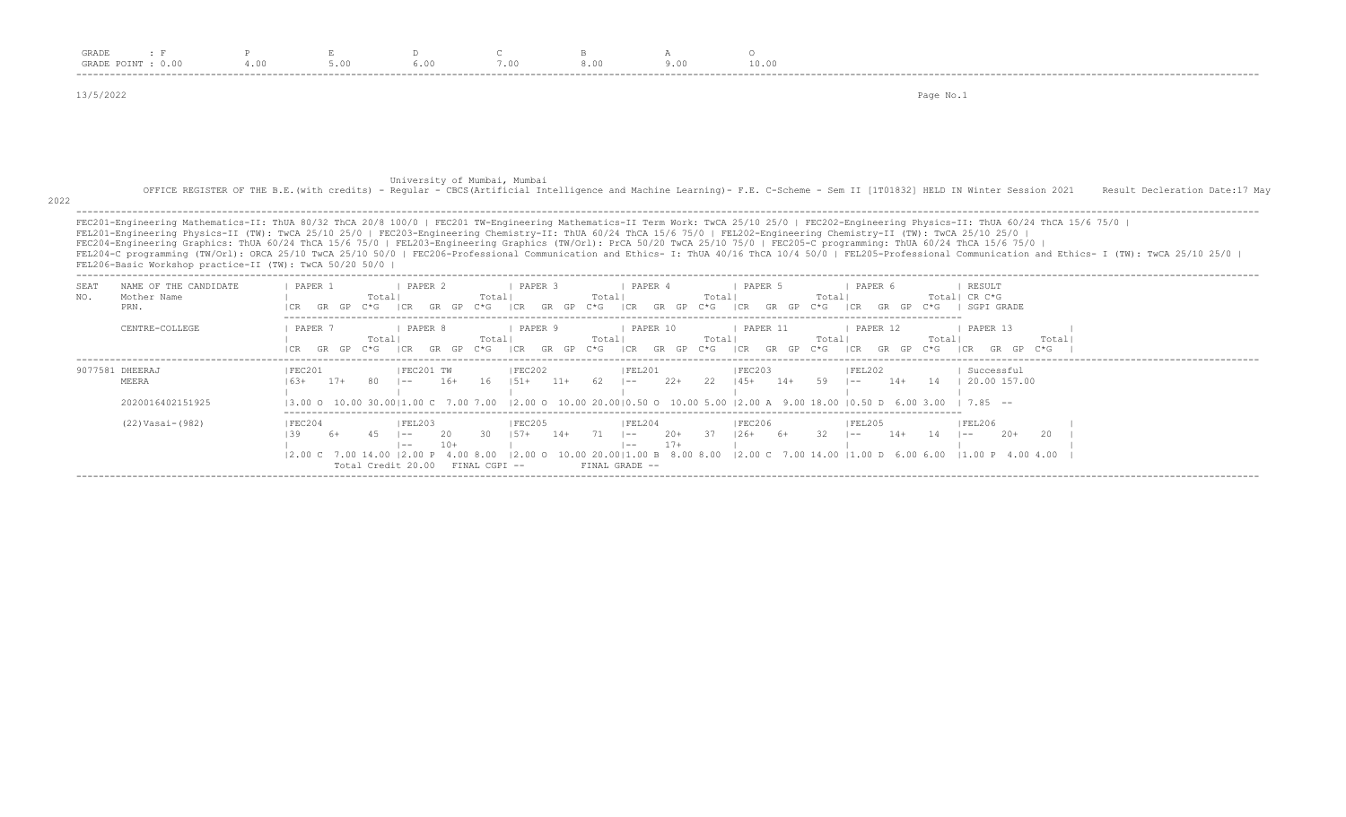| GRADE       | $\pm$ F<br>GRADE POINT : 0.00                                                                                                                                                                                                                                                                                                                                                                                        | 4.00               | 5.00                                 |                                        | 7.00                                  | 8.00                              | 9.00                  | $\Omega$<br>10.00                                               |                                                                                                                                                                           |                                                                                                                                                                                                                                                                                                                                                                                                                |
|-------------|----------------------------------------------------------------------------------------------------------------------------------------------------------------------------------------------------------------------------------------------------------------------------------------------------------------------------------------------------------------------------------------------------------------------|--------------------|--------------------------------------|----------------------------------------|---------------------------------------|-----------------------------------|-----------------------|-----------------------------------------------------------------|---------------------------------------------------------------------------------------------------------------------------------------------------------------------------|----------------------------------------------------------------------------------------------------------------------------------------------------------------------------------------------------------------------------------------------------------------------------------------------------------------------------------------------------------------------------------------------------------------|
| 13/5/2022   |                                                                                                                                                                                                                                                                                                                                                                                                                      |                    |                                      |                                        |                                       |                                   |                       |                                                                 | Page No.1                                                                                                                                                                 |                                                                                                                                                                                                                                                                                                                                                                                                                |
|             |                                                                                                                                                                                                                                                                                                                                                                                                                      |                    |                                      |                                        |                                       |                                   |                       |                                                                 |                                                                                                                                                                           |                                                                                                                                                                                                                                                                                                                                                                                                                |
| 2022        |                                                                                                                                                                                                                                                                                                                                                                                                                      |                    |                                      | University of Mumbai, Mumbai           |                                       |                                   |                       |                                                                 | OFFICE REGISTER OF THE B.E. (with credits) - Regular - CBCS (Artificial Intelligence and Machine Learning) - F.E. C-Scheme - Sem II [1T01832] HELD IN Winter Session 2021 | Result Decleration Date: 17 May                                                                                                                                                                                                                                                                                                                                                                                |
|             | FEL201-Engineering Physics-II (TW): TwCA 25/10 25/0   FEC203-Engineering Chemistry-II: ThUA 60/24 ThCA 15/6 75/0   FEL202-Engineering Chemistry-II (TW): TwCA 25/10 25/0  <br>FEC204-Engineering Graphics: ThUA 60/24 ThCA 15/6 75/0   FEL203-Engineering Graphics (TW/Orl): PrCA 50/20 TwCA 25/10 75/0   FEC205-C programming: ThUA 60/24 ThCA 15/6 75/0<br>FEL206-Basic Workshop practice-II (TW): TwCA 50/20 50/0 |                    |                                      |                                        |                                       |                                   |                       |                                                                 |                                                                                                                                                                           | FEC201-Engineering Mathematics-II: ThUA 80/32 ThCA 20/8 100/0   FEC201 TW-Engineering Mathematics-II Term Work: TwCA 25/10 25/0   FEC202-Engineering Physics-II: ThUA 60/24 ThCA 15/6 75/0  <br>FEL204-C programming (TW/Orl): ORCA 25/10 TwCA 25/10 50/0   FEC206-Professional Communication and Ethics- I: ThUA 40/16 ThCA 10/4 50/0   FEL205-Professional Communication and Ethics- I (TW): TwCA 25/10 25/0 |
| SEAT<br>NO. | NAME OF THE CANDIDATE<br>Mother Name<br>PRN.                                                                                                                                                                                                                                                                                                                                                                         |                    | PAPER 1<br>Total<br>GR GP C*G        | I PAPER 2<br> CR<br>GR GP              | I PAPER 3<br>Totall<br>$C * G$<br>ICR | Totall<br>GR GP<br>$C * G$<br> CR | <b>I PAPER 4</b>      | I PAPER 5<br>Totall<br>Totall<br>GR GP C*G ICR GR GP<br>$C * G$ | PAPER 6<br> CR<br>GR GP C*G   SGPI GRADE                                                                                                                                  | RESULT<br>Totall CR C*G                                                                                                                                                                                                                                                                                                                                                                                        |
|             | CENTRE-COLLEGE                                                                                                                                                                                                                                                                                                                                                                                                       |                    | PAPER 7<br>Totall<br>$GR$ $GP$ $C*G$ | PAPER 8<br>ICR GR GP C*G ICR GR GP C*G | PAPER 9<br>Totall                     | Totall                            | PAPER 10              | PAPER 11<br>Totall<br>ICR GR GP C*G ICR GR GP C*G               | PAPER 12<br>Totall<br>Totall<br>ICR GR GP C*G                                                                                                                             | PAPER 13<br>Total<br>ICR<br>GR GP                                                                                                                                                                                                                                                                                                                                                                              |
|             | 9077581 DHEERAJ                                                                                                                                                                                                                                                                                                                                                                                                      | IFEC201<br>$16.3+$ | $17+$                                | IFEC201 TW<br>$16+$<br>$- -$           | IFEC202<br>16<br>$1.51 +$             | 62<br>$11+$<br>$-$                | FEL201<br>$22+$<br>22 | IFEC203<br>59<br>$145+$<br>$14+$                                | FEL202<br>$1 - -$<br>$14+$                                                                                                                                                | Successful                                                                                                                                                                                                                                                                                                                                                                                                     |
|             | MEERA                                                                                                                                                                                                                                                                                                                                                                                                                |                    |                                      |                                        |                                       |                                   |                       |                                                                 |                                                                                                                                                                           | 14   20.00 157.00                                                                                                                                                                                                                                                                                                                                                                                              |
|             | 2020016402151925                                                                                                                                                                                                                                                                                                                                                                                                     |                    |                                      |                                        |                                       |                                   |                       |                                                                 | $13.00$ O $10.00$ $30.0011.00$ C $7.00$ $7.00$ $12.00$ O $10.00$ $20.0010.50$ O $10.00$ $5.00$ $12.00$ A $9.00$ $18.00$ $10.50$ D $6.00$ $3.00$ $1$ $7.85$ $-$            |                                                                                                                                                                                                                                                                                                                                                                                                                |

-------------------------------------------------------------------------------------------------------------------------------------------------------------------------------------------------------------------